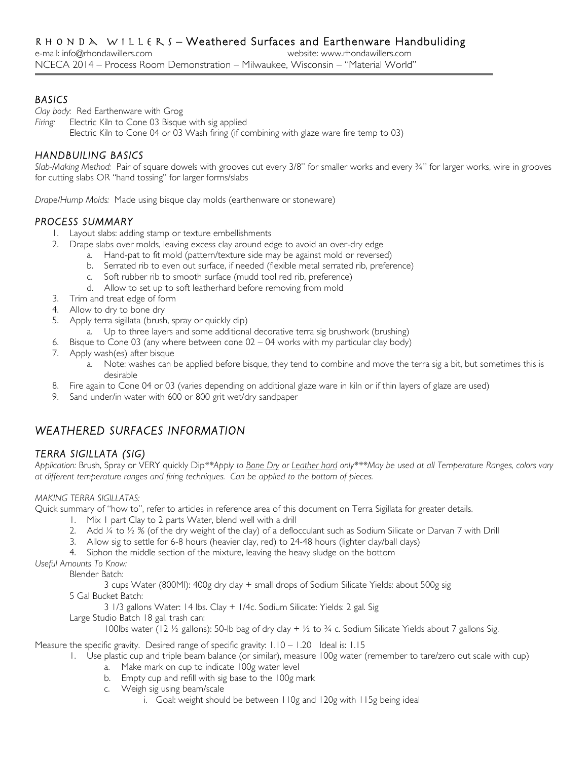## *BASICS*

*Clay body:* Red Earthenware with Grog

*Firing:* Electric Kiln to Cone 03 Bisque with sig applied Electric Kiln to Cone 04 or 03 Wash firing (if combining with glaze ware fire temp to 03)

## *HANDBUILING BASICS*

*Slab-Making Method:* Pair of square dowels with grooves cut every 3/8" for smaller works and every ¾" for larger works, wire in grooves for cutting slabs OR "hand tossing" for larger forms/slabs

*Drape/Hump Molds:* Made using bisque clay molds (earthenware or stoneware)

## *PROCESS SUMMARY*

- 1. Layout slabs: adding stamp or texture embellishments
- 2. Drape slabs over molds, leaving excess clay around edge to avoid an over-dry edge
	- a. Hand-pat to fit mold (pattern/texture side may be against mold or reversed)
	- b. Serrated rib to even out surface, if needed (flexible metal serrated rib, preference)
	- c. Soft rubber rib to smooth surface (mudd tool red rib, preference)
	- d. Allow to set up to soft leatherhard before removing from mold
- 3. Trim and treat edge of form
- 4. Allow to dry to bone dry
- 5. Apply terra sigillata (brush, spray or quickly dip)
	- a. Up to three layers and some additional decorative terra sig brushwork (brushing)
- 6. Bisque to Cone 03 (any where between cone 02 04 works with my particular clay body)
- 7. Apply wash(es) after bisque
	- a. Note: washes can be applied before bisque, they tend to combine and move the terra sig a bit, but sometimes this is desirable
- 8. Fire again to Cone 04 or 03 (varies depending on additional glaze ware in kiln or if thin layers of glaze are used)
- 9. Sand under/in water with 600 or 800 grit wet/dry sandpaper

# *WEATHERED SURFACES INFORMATION*

## *TERRA SIGILLATA (SIG)*

*Application:* Brush, Spray or VERY quickly Dip*\*\*Apply to Bone Dry or Leather hard only\*\*\*May be used at all Temperature Ranges, colors vary at different temperature ranges and firing techniques. Can be applied to the bottom of pieces.*

### *MAKING TERRA SIGILLATAS:*

Quick summary of "how to", refer to articles in reference area of this document on Terra Sigillata for greater details.

- 1. Mix 1 part Clay to 2 parts Water, blend well with a drill
- 2. Add  $\frac{1}{4}$  to  $\frac{1}{2}$  % (of the dry weight of the clay) of a deflocculant such as Sodium Silicate or Darvan 7 with Drill
- 3. Allow sig to settle for 6-8 hours (heavier clay, red) to 24-48 hours (lighter clay/ball clays)
- 4. Siphon the middle section of the mixture, leaving the heavy sludge on the bottom

*Useful Amounts To Know:*

Blender Batch:

3 cups Water (800Ml): 400g dry clay + small drops of Sodium Silicate Yields: about 500g sig

5 Gal Bucket Batch:

3 1/3 gallons Water: 14 lbs. Clay + 1/4c. Sodium Silicate: Yields: 2 gal. Sig

Large Studio Batch 18 gal. trash can:

100lbs water (12 ½ gallons): 50-lb bag of dry clay + ½ to ¾ c. Sodium Silicate Yields about 7 gallons Sig.

Measure the specific gravity. Desired range of specific gravity: 1.10 – 1.20 Ideal is: 1.15

- 1. Use plastic cup and triple beam balance (or similar), measure 100g water (remember to tare/zero out scale with cup)
	- a. Make mark on cup to indicate 100g water level
	- b. Empty cup and refill with sig base to the 100g mark
	- c. Weigh sig using beam/scale
		- i. Goal: weight should be between 110g and 120g with 115g being ideal